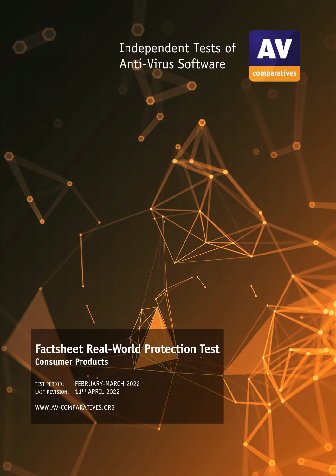# Independent Tests of Anti-Virus Software



## **Factsheet Real-World Protection Test Consumer Products**

TEST PERIOD: FEBRUARY-MARCH 2022 LAST REVISION: 11TH APRIL 2022

WWW.AV-COMPARATIVES.ORG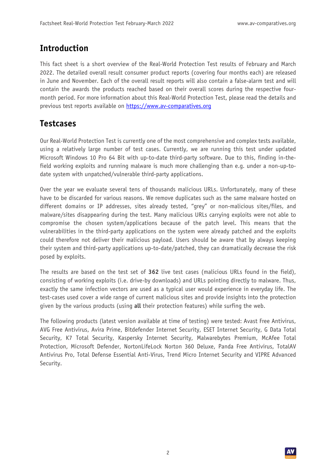#### **Introduction**

This fact sheet is a short overview of the Real-World Protection Test results of February and March 2022. The detailed overall result consumer product reports (covering four months each) are released in June and November. Each of the overall result reports will also contain a false-alarm test and will contain the awards the products reached based on their overall scores during the respective fourmonth period. For more information about this Real-World Protection Test, please read the details and previous test reports available on https://www.av-comparatives.org

#### **Testcases**

Our Real-World Protection Test is currently one of the most comprehensive and complex tests available, using a relatively large number of test cases. Currently, we are running this test under updated Microsoft Windows 10 Pro 64 Bit with up-to-date third-party software. Due to this, finding in-thefield working exploits and running malware is much more challenging than e.g. under a non-up-todate system with unpatched/vulnerable third-party applications.

Over the year we evaluate several tens of thousands malicious URLs. Unfortunately, many of these have to be discarded for various reasons. We remove duplicates such as the same malware hosted on different domains or IP addresses, sites already tested, "grey" or non-malicious sites/files, and malware/sites disappearing during the test. Many malicious URLs carrying exploits were not able to compromise the chosen system/applications because of the patch level. This means that the vulnerabilities in the third-party applications on the system were already patched and the exploits could therefore not deliver their malicious payload. Users should be aware that by always keeping their system and third-party applications up-to-date/patched, they can dramatically decrease the risk posed by exploits.

The results are based on the test set of **362** live test cases (malicious URLs found in the field), consisting of working exploits (i.e. drive-by downloads) and URLs pointing directly to malware. Thus, exactly the same infection vectors are used as a typical user would experience in everyday life. The test-cases used cover a wide range of current malicious sites and provide insights into the protection given by the various products (using **all** their protection features) while surfing the web.

The following products (latest version available at time of testing) were tested: Avast Free Antivirus, AVG Free Antivirus, Avira Prime, Bitdefender Internet Security, ESET Internet Security, G Data Total Security, K7 Total Security, Kaspersky Internet Security, Malwarebytes Premium, McAfee Total Protection, Microsoft Defender, NortonLifeLock Norton 360 Deluxe, Panda Free Antivirus, TotalAV Antivirus Pro, Total Defense Essential Anti-Virus, Trend Micro Internet Security and VIPRE Advanced Security.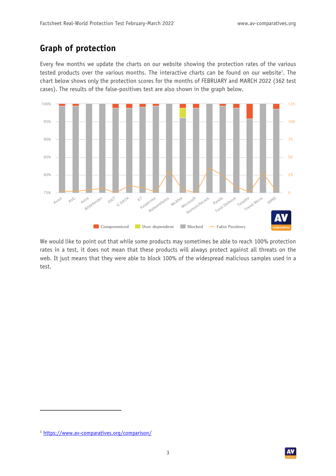### **Graph of protection**

Every few months we update the charts on our website showing the protection rates of the various tested products over the various months. The interactive charts can be found on our website<sup>1</sup>. The chart below shows only the protection scores for the months of FEBRUARY and MARCH 2022 (362 test cases). The results of the false-positives test are also shown in the graph below.



We would like to point out that while some products may sometimes be able to reach 100% protection rates in a test, it does not mean that these products will always protect against all threats on the web. It just means that they were able to block 100% of the widespread malicious samples used in a test.

<sup>1</sup> https://www.av-comparatives.org/comparison/